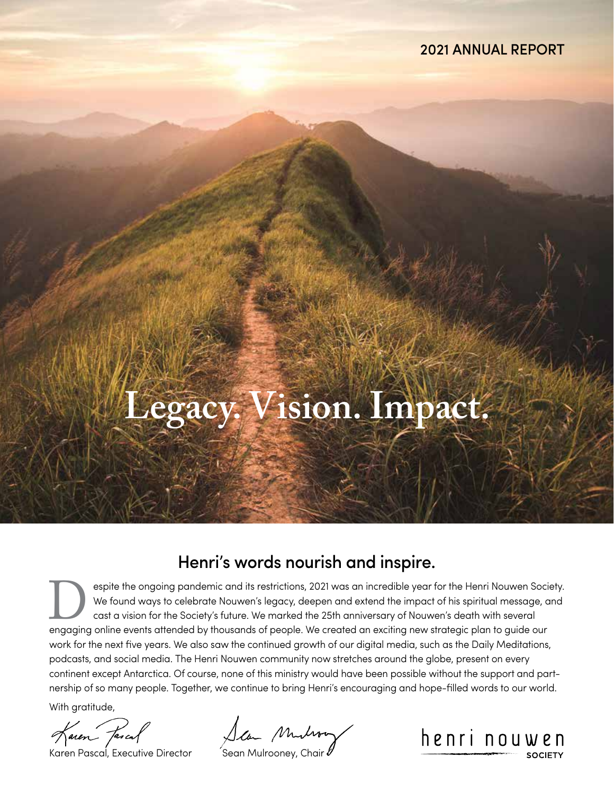# **Legacy. Vision. Impact.**

### Henri's words nourish and inspire.

espite the ongoing pandemic and its restrictions, 2021 was an incredible year for the Henri Nouwen Society. We found ways to celebrate Nouwen's legacy, deepen and extend the impact of his spiritual message, and cast a vision for the Society's future. We marked the 25th anniversary of Nouwen's death with several We found ways to celebrate Nouwen's legacy, deepen and extend the impact of his spiritual message, a<br>cast a vision for the Society's future. We marked the 25th anniversary of Nouwen's death with several<br>engaging online eve work for the next five years. We also saw the continued growth of our digital media, such as the Daily Meditations, podcasts, and social media. The Henri Nouwen community now stretches around the globe, present on every continent except Antarctica. Of course, none of this ministry would have been possible without the support and partnership of so many people. Together, we continue to bring Henri's encouraging and hope-filled words to our world.

With gratitude,

Karen Fascal

Karen Fascal, Executive Director Sean Mulrooney, Chair V

henri nouwen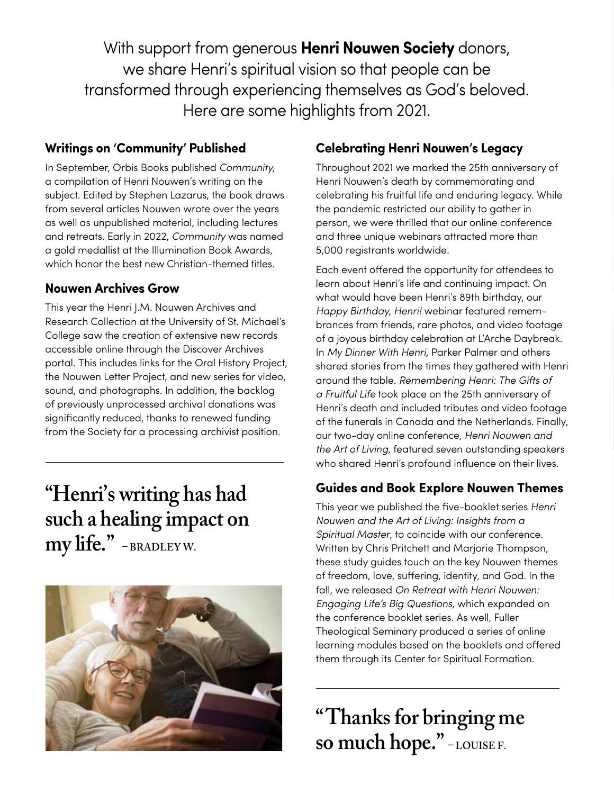With support from generous **Henri Nouwen Society** donors, we share Henri's spiritual vision so that people can be transformed through experiencing themselves as God's beloved. Here are some highlights from 2021.

#### **Writings on 'Community' Published**

In September, Orbis Books published *Community,*  a compilation of Henri Nouwen's writing on the subject. Edited by Stephen Lazarus, the book draws from several articles Nouwen wrote over the years as well as unpublished material, including lectures and retreats. Early in 2022, *Community* was named a gold medallist at the Illumination Book Awards, which honor the best new Christian-themed titles.

#### **Nouwen Archives Grow**

This year the Henri J.M. Nouwen Archives and Research Collection at the University of St. Michael's College saw the creation of extensive new records accessible online through the Discover Archives portal. This includes links for the Oral History Project, the Nouwen Letter Project, and new series for video, sound, and photographs. In addition, the backlog of previously unprocessed archival donations was significantly reduced, thanks to renewed funding from the Society for a processing archivist position.

## **"Henri's writing has had such a healing impact on my life." – BRADLEY W.**



#### **Celebrating Henri Nouwen's Legacy**

Throughout 2021 we marked the 25th anniversary of Henri Nouwen's death by commemorating and celebrating his fruitful life and enduring legacy. While the pandemic restricted our ability to gather in person, we were thrilled that our online conference and three unique webinars attracted more than 5,000 registrants worldwide.

Each event offered the opportunity for attendees to learn about Henri's life and continuing impact. On what would have been Henri's 89th birthday, our *Happy Birthday, Henri!* webinar featured remembrances from friends, rare photos, and video footage of a joyous birthday celebration at L'Arche Daybreak. In *My Dinner With Henri,* Parker Palmer and others shared stories from the times they gathered with Henri around the table. *Remembering Henri: The Gifts of a Fruitful Life* took place on the 25th anniversary of Henri's death and included tributes and video footage of the funerals in Canada and the Netherlands. Finally, our two-day online conference, *Henri Nouwen and the Art of Living,* featured seven outstanding speakers who shared Henri's profound influence on their lives.

#### **Guides and Book Explore Nouwen Themes**

This year we published the five-booklet series *Henri Nouwen and the Art of Living: Insights from a Spiritual Master*, to coincide with our conference. Written by Chris Pritchett and Marjorie Thompson, these study guides touch on the key Nouwen themes of freedom, love, suffering, identity, and God. In the fall, we released *On Retreat with Henri Nouwen: Engaging Life's Big Questions,* which expanded on the conference booklet series. As well, Fuller Theological Seminary produced a series of online learning modules based on the booklets and offered them through its Center for Spiritual Formation.

**"Thanks for bringing me so much hope." – LOUISE F.**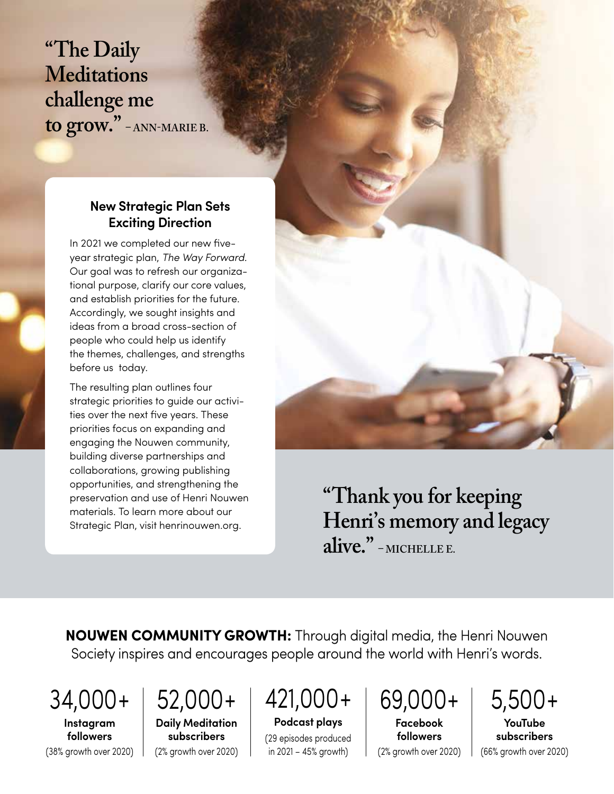**"The Daily Meditations challenge me to grow." – ANN-MARIE B.**

#### **New Strategic Plan Sets Exciting Direction**

In 2021 we completed our new fiveyear strategic plan, *The Way Forward.* Our goal was to refresh our organizational purpose, clarify our core values, and establish priorities for the future. Accordingly, we sought insights and ideas from a broad cross-section of people who could help us identify the themes, challenges, and strengths before us today.

The resulting plan outlines four strategic priorities to guide our activities over the next five years. These priorities focus on expanding and engaging the Nouwen community, building diverse partnerships and collaborations, growing publishing opportunities, and strengthening the preservation and use of Henri Nouwen materials. To learn more about our Strategic Plan, visit henrinouwen.org.



**"Thank you for keeping Henri's memory and legacy alive." – MICHELLE E.**

**NOUWEN COMMUNITY GROWTH:** Through digital media, the Henri Nouwen Society inspires and encourages people around the world with Henri's words.

34,000+

**Instagram followers**

52,000+

(38% growth over 2020) **Daily Meditation subscribers** (2% growth over 2020)

421,000+

**Podcast plays** (29 episodes produced in 2021 – 45% growth)

69,000+

**Facebook followers** (2% growth over 2020)

5,500+ **YouTube subscribers** (66% growth over 2020)